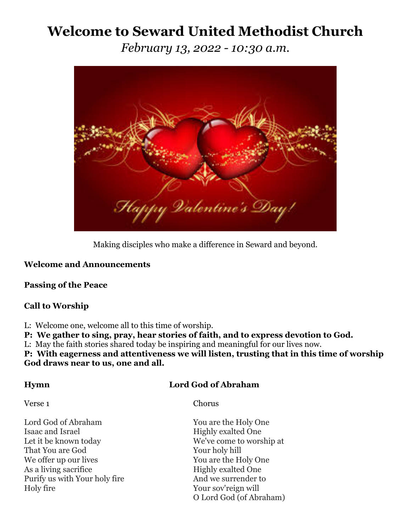# **Welcome to Seward United Methodist Church**

*February 13, 2022 - 10:30 a.m.*



Making disciples who make a difference in Seward and beyond.

# **Welcome and Announcements**

# **Passing of the Peace**

# **Call to Worship**

L: Welcome one, welcome all to this time of worship.

**P: We gather to sing, pray, hear stories of faith, and to express devotion to God.**

L: May the faith stories shared today be inspiring and meaningful for our lives now.

**P: With eagerness and attentiveness we will listen, trusting that in this time of worship God draws near to us, one and all.** 

# **Hymn Lord God of Abraham**

Verse 1 Chorus

Lord God of Abraham You are the Holy One Isaac and Israel **Highly exalted One** Let it be known today We've come to worship at That You are God Your holy hill We offer up our lives You are the Holy One As a living sacrifice Highly exalted One Purify us with Your holy fire And we surrender to Holy fire Your sov'reign will

O Lord God (of Abraham)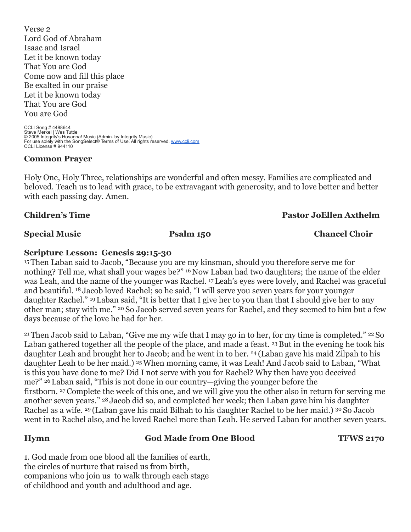Verse 2 Lord God of Abraham Isaac and Israel Let it be known today That You are God Come now and fill this place Be exalted in our praise Let it be known today That You are God You are God

CCLI Song # 4488644 Steve Merkel | Wes Tuttle<br>© 2005 Integrity's Hosanna! Music (Admin. by Integrity Music)<br>For use solely with the SongSelect® Terms of Use. All rights reserved. <u>www.ccli.com</u> CCLI License # 944110

### **Common Prayer**

Holy One, Holy Three, relationships are wonderful and often messy. Families are complicated and beloved. Teach us to lead with grace, to be extravagant with generosity, and to love better and better with each passing day. Amen.

### **Children's Time Pastor JoEllen Axthelm**

**Special Music Psalm 150 Chancel Choir**

### **Scripture Lesson: Genesis 29:15-30**

<sup>15</sup> Then Laban said to Jacob, "Because you are my kinsman, should you therefore serve me for nothing? Tell me, what shall your wages be?" <sup>16</sup> Now Laban had two daughters; the name of the elder was Leah, and the name of the younger was Rachel. <sup>17</sup> Leah's eyes were lovely, and Rachel was graceful and beautiful. <sup>18</sup> Jacob loved Rachel; so he said, "I will serve you seven years for your younger daughter Rachel." <sup>19</sup> Laban said, "It is better that I give her to you than that I should give her to any other man; stay with me." <sup>20</sup> So Jacob served seven years for Rachel, and they seemed to him but a few days because of the love he had for her.

<sup>21</sup> Then Jacob said to Laban, "Give me my wife that I may go in to her, for my time is completed." <sup>22</sup> So Laban gathered together all the people of the place, and made a feast. <sup>23</sup> But in the evening he took his daughter Leah and brought her to Jacob; and he went in to her. <sup>24</sup> (Laban gave his maid Zilpah to his daughter Leah to be her maid.) 25When morning came, it was Leah! And Jacob said to Laban, "What is this you have done to me? Did I not serve with you for Rachel? Why then have you deceived me?" <sup>26</sup> Laban said, "This is not done in our country—giving the younger before the firstborn. <sup>27</sup> Complete the week of this one, and we will give you the other also in return for serving me another seven years." <sup>28</sup> Jacob did so, and completed her week; then Laban gave him his daughter Rachel as a wife. <sup>29</sup> (Laban gave his maid Bilhah to his daughter Rachel to be her maid.) <sup>30</sup> So Jacob went in to Rachel also, and he loved Rachel more than Leah. He served Laban for another seven years.

### **Hymn God Made from One Blood TFWS 2170**

1. God made from one blood all the families of earth, the circles of nurture that raised us from birth, companions who join us to walk through each stage of childhood and youth and adulthood and age.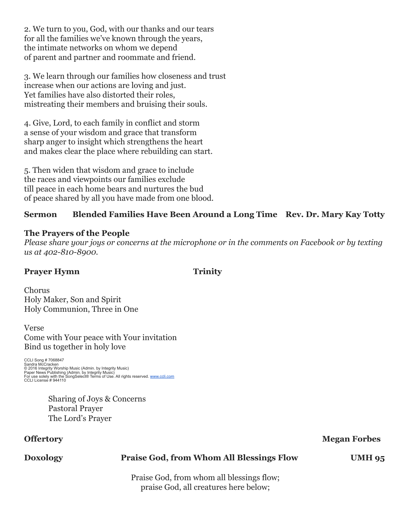2. We turn to you, God, with our thanks and our tears for all the families we've known through the years, the intimate networks on whom we depend of parent and partner and roommate and friend.

3. We learn through our families how closeness and trust increase when our actions are loving and just. Yet families have also distorted their roles, mistreating their members and bruising their souls.

4. Give, Lord, to each family in conflict and storm a sense of your wisdom and grace that transform sharp anger to insight which strengthens the heart and makes clear the place where rebuilding can start.

5. Then widen that wisdom and grace to include the races and viewpoints our families exclude till peace in each home bears and nurtures the bud of peace shared by all you have made from one blood.

# **Sermon Blended Families Have Been Around a Long Time Rev. Dr. Mary Kay Totty**

### **The Prayers of the People**

*Please share your joys or concerns at the microphone or in the comments on Facebook or by texting us at 402-810-8900.*

# **Prayer Hymn Trinity**

Chorus Holy Maker, Son and Spirit Holy Communion, Three in One

Verse Come with Your peace with Your invitation Bind us together in holy love

CCLI Song # 7068847 Sandra McCracken © 2016 Integrity Worship Music (Admin. by Integrity Music)<br>Paper News Publishing (Admin. by Integrity Music)<br>For use solely with the SongSelect® Terms of Use. All rights reserved. <u>[www.ccli.com](http://www.ccli.com/)</u><br>CCLI License # 944110

> Sharing of Joys & Concerns Pastoral Prayer The Lord's Prayer

### **Offertory** Megan Forbes

### **Doxology Praise God, from Whom All Blessings Flow UMH 95**

Praise God, from whom all blessings flow; praise God, all creatures here below;